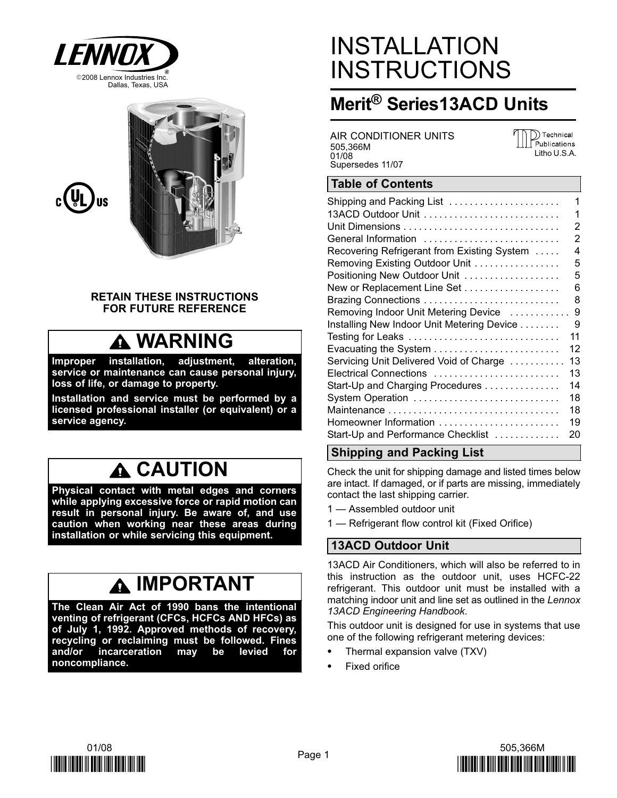



#### RETAIN THESE INSTRUCTIONS FOR FUTURE REFERENCE

## **A WARNING**

Improper installation, adjustment, alteration, service or maintenance can cause personal injury, loss of life, or damage to property.

Installation and service must be performed by a licensed professional installer (or equivalent) or a service agency.

## **A CAUTION**

Physical contact with metal edges and corners while applying excessive force or rapid motion can result in personal injury. Be aware of, and use caution when working near these areas during installation or while servicing this equipment.

## A IMPORTANT

The Clean Air Act of 1990 bans the intentional venting of refrigerant (CFCs, HCFCs AND HFCs) as of July 1, 1992. Approved methods of recovery, recycling or reclaiming must be followed. Fines and/or incarceration may be levied for noncompliance.

## INSTALLATION **INSTRUCTIONS**

### Merit® Series13ACD Units

AIR CONDITIONER UNITS 505,366M 01/08 Supersedes 11/07

)) Technical Publications Litho U.S.A.

#### Table of Contents

| Shipping and Packing List                   | 1  |
|---------------------------------------------|----|
|                                             | 1  |
|                                             | 2  |
| General Information                         | 2  |
| Recovering Refrigerant from Existing System | 4  |
| Removing Existing Outdoor Unit              | 5  |
| Positioning New Outdoor Unit                | 5  |
| New or Replacement Line Set                 | 6  |
|                                             | 8  |
| Removing Indoor Unit Metering Device        | 9  |
| Installing New Indoor Unit Metering Device  | 9  |
| Testing for Leaks                           | 11 |
|                                             | 12 |
| Servicing Unit Delivered Void of Charge     | 13 |
| Electrical Connections                      | 13 |
| Start-Up and Charging Procedures            | 14 |
| System Operation                            | 18 |
| Maintenance                                 | 18 |
| Homeowner Information                       | 19 |
| Start-Up and Performance Checklist          | 20 |

### Shipping and Packing List

Check the unit for shipping damage and listed times below are intact. If damaged, or if parts are missing, immediately contact the last shipping carrier.

- 1 Assembled outdoor unit
- 1 Refrigerant flow control kit (Fixed Orifice)

### 13ACD Outdoor Unit

13ACD Air Conditioners, which will also be referred to in this instruction as the outdoor unit, uses HCFC−22 refrigerant. This outdoor unit must be installed with a matching indoor unit and line set as outlined in the Lennox 13ACD Engineering Handbook.

This outdoor unit is designed for use in systems that use one of the following refrigerant metering devices:

- Thermal expansion valve (TXV)
- Fixed orifice



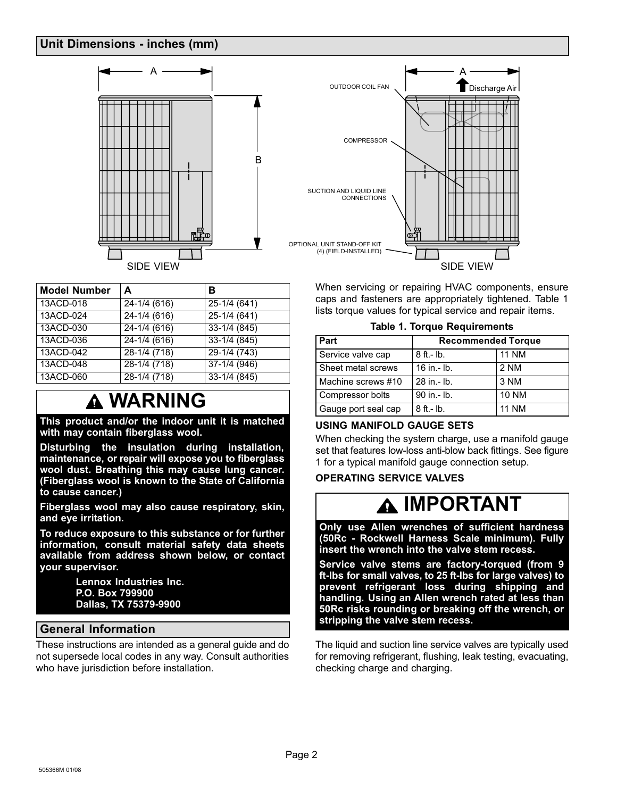#### <span id="page-1-0"></span>Unit Dimensions − inches (mm)



| <b>Model Number</b> | A                | в             |
|---------------------|------------------|---------------|
| 13ACD-018           | 24-1/4 (616)     | 25-1/4 (641)  |
| 13ACD-024           | 24-1/4 (616)     | $25-1/4(641)$ |
| 13ACD-030           | $24 - 1/4$ (616) | $33-1/4(845)$ |
| 13ACD-036           | $24 - 1/4$ (616) | $33-1/4(845)$ |
| 13ACD-042           | $28-1/4(718)$    | $29-1/4(743)$ |
| 13ACD-048           | $28-1/4(718)$    | $37-1/4(946)$ |
| 13ACD-060           | $28-1/4(718)$    | $33-1/4(845)$ |

### **A WARNING**

This product and/or the indoor unit it is matched with may contain fiberglass wool.

Disturbing the insulation during installation, maintenance, or repair will expose you to fiberglass wool dust. Breathing this may cause lung cancer. (Fiberglass wool is known to the State of California to cause cancer.)

Fiberglass wool may also cause respiratory, skin, and eye irritation.

To reduce exposure to this substance or for further information, consult material safety data sheets available from address shown below, or contact your supervisor.

> Lennox Industries Inc. P.O. Box 799900 Dallas, TX 75379−9900

#### General Information

These instructions are intended as a general guide and do not supersede local codes in any way. Consult authorities who have jurisdiction before installation.



When servicing or repairing HVAC components, ensure caps and fasteners are appropriately tightened. Table 1 lists torque values for typical service and repair items.

Table 1. Torque Requirements

| Part                | <b>Recommended Torque</b> |              |
|---------------------|---------------------------|--------------|
| Service valve cap   | $8$ ft.- lb.              | <b>11 NM</b> |
| Sheet metal screws  | $16$ in $-$ lb.           | 2 NM         |
| Machine screws #10  | 28 in - lb.               | 3 NM         |
| Compressor bolts    | 90 in .- lb.              | <b>10 NM</b> |
| Gauge port seal cap | $8$ ft.- lb.              | <b>11 NM</b> |

#### USING MANIFOLD GAUGE SETS

When checking the system charge, use a manifold gauge set that features low−loss anti−blow back fittings. See figure [1](#page-2-0) for a typical manifold gauge connection setup.

#### OPERATING SERVICE VALVES

## IMPORTANT

Only use Allen wrenches of sufficient hardness (50Rc − Rockwell Harness Scale minimum). Fully insert the wrench into the valve stem recess.

Service valve stems are factory−torqued (from 9 ft−lbs for small valves, to 25 ft−lbs for large valves) to prevent refrigerant loss during shipping and handling. Using an Allen wrench rated at less than 50Rc risks rounding or breaking off the wrench, or stripping the valve stem recess.

The liquid and suction line service valves are typically used for removing refrigerant, flushing, leak testing, evacuating, checking charge and charging.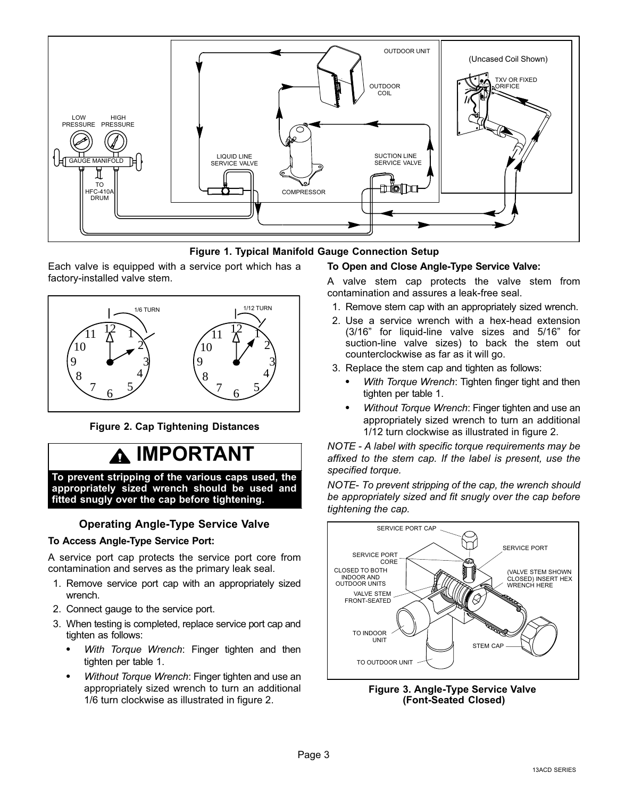<span id="page-2-0"></span>



Each valve is equipped with a service port which has a factory−installed valve stem.



Figure 2. Cap Tightening Distances

## IMPORTANT

To prevent stripping of the various caps used, the appropriately sized wrench should be used and fitted snugly over the cap before tightening.

#### Operating Angle−Type Service Valve

#### To Access Angle−Type Service Port:

A service port cap protects the service port core from contamination and serves as the primary leak seal.

- 1. Remove service port cap with an appropriately sized wrench.
- 2. Connect gauge to the service port.
- 3. When testing is completed, replace service port cap and tighten as follows:
	- With Torque Wrench: Finger tighten and then tighten per table [1.](#page-1-0)
	- Without Torque Wrench: Finger tighten and use an appropriately sized wrench to turn an additional 1/6 turn clockwise as illustrated in figure 2.

#### To Open and Close Angle−Type Service Valve:

A valve stem cap protects the valve stem from contamination and assures a leak−free seal.

- 1. Remove stem cap with an appropriately sized wrench.
- 2. Use a service wrench with a hex−head extension (3/16" for liquid-line valve sizes and 5/16" for suction-line valve sizes) to back the stem out counterclockwise as far as it will go.
- 3. Replace the stem cap and tighten as follows:
	- With Torque Wrench: Tighten finger tight and then tighten per table [1.](#page-1-0)
	- Without Torque Wrench: Finger tighten and use an appropriately sized wrench to turn an additional 1/12 turn clockwise as illustrated in figure 2.

NOTE − A label with specific torque requirements may be affixed to the stem cap. If the label is present, use the specified torque.

NOTE− To prevent stripping of the cap, the wrench should be appropriately sized and fit snugly over the cap before tightening the cap.



Figure 3. Angle−Type Service Valve (Font−Seated Closed)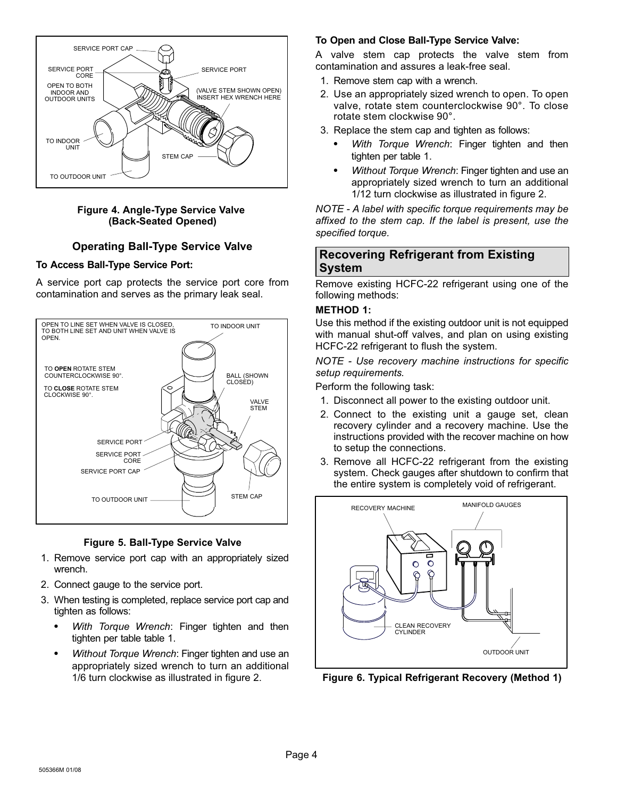<span id="page-3-0"></span>

#### Figure 4. Angle−Type Service Valve (Back−Seated Opened)

#### Operating Ball−Type Service Valve

#### To Access Ball−Type Service Port:

A service port cap protects the service port core from contamination and serves as the primary leak seal.





- 1. Remove service port cap with an appropriately sized wrench.
- 2. Connect gauge to the service port.
- 3. When testing is completed, replace service port cap and tighten as follows:
	- With Torque Wrench: Finger tighten and then tighten per table table [1.](#page-1-0)
	- Without Torque Wrench: Finger tighten and use an appropriately sized wrench to turn an additional 1/6 turn clockwise as illustrated in figure [2](#page-2-0).

#### To Open and Close Ball−Type Service Valve:

A valve stem cap protects the valve stem from contamination and assures a leak−free seal.

- 1. Remove stem cap with a wrench.
- 2. Use an appropriately sized wrench to open. To open valve, rotate stem counterclockwise 90°. To close rotate stem clockwise 90°.
- 3. Replace the stem cap and tighten as follows:
	- With Torque Wrench: Finger tighten and then tighten per table [1.](#page-1-0)
	- Without Torque Wrench: Finger tighten and use an appropriately sized wrench to turn an additional 1/12 turn clockwise as illustrated in figure [2.](#page-2-0)

NOTE − A label with specific torque requirements may be affixed to the stem cap. If the label is present, use the specified torque.

#### Recovering Refrigerant from Existing System

Remove existing HCFC−22 refrigerant using one of the following methods:

#### METHOD 1:

Use this method if the existing outdoor unit is not equipped with manual shut−off valves, and plan on using existing HCFC−22 refrigerant to flush the system.

NOTE − Use recovery machine instructions for specific setup requirements.

Perform the following task:

- 1. Disconnect all power to the existing outdoor unit.
- 2. Connect to the existing unit a gauge set, clean recovery cylinder and a recovery machine. Use the instructions provided with the recover machine on how to setup the connections.
- 3. Remove all HCFC−22 refrigerant from the existing system. Check gauges after shutdown to confirm that the entire system is completely void of refrigerant.



Figure 6. Typical Refrigerant Recovery (Method 1)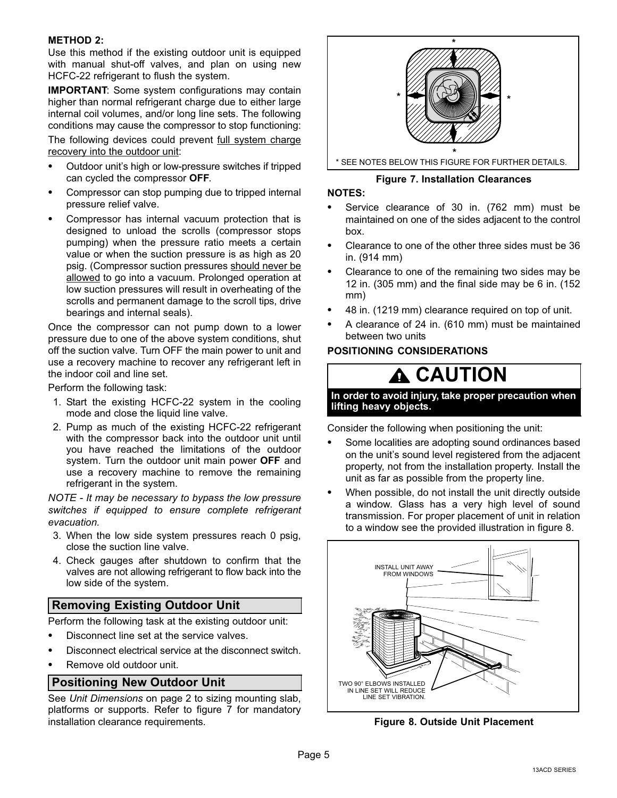#### <span id="page-4-0"></span>METHOD 2:

Use this method if the existing outdoor unit is equipped with manual shut−off valves, and plan on using new HCFC−22 refrigerant to flush the system.

IMPORTANT: Some system configurations may contain higher than normal refrigerant charge due to either large internal coil volumes, and/or long line sets. The following conditions may cause the compressor to stop functioning:

The following devices could prevent full system charge recovery into the outdoor unit:

- Outdoor unit's high or low−pressure switches if tripped can cycled the compressor OFF.
- Compressor can stop pumping due to tripped internal pressure relief valve.
- Compressor has internal vacuum protection that is designed to unload the scrolls (compressor stops pumping) when the pressure ratio meets a certain value or when the suction pressure is as high as 20 psig. (Compressor suction pressures should never be allowed to go into a vacuum. Prolonged operation at low suction pressures will result in overheating of the scrolls and permanent damage to the scroll tips, drive bearings and internal seals).

Once the compressor can not pump down to a lower pressure due to one of the above system conditions, shut off the suction valve. Turn OFF the main power to unit and use a recovery machine to recover any refrigerant left in the indoor coil and line set.

Perform the following task:

- 1. Start the existing HCFC−22 system in the cooling mode and close the liquid line valve.
- 2. Pump as much of the existing HCFC−22 refrigerant with the compressor back into the outdoor unit until you have reached the limitations of the outdoor system. Turn the outdoor unit main power OFF and use a recovery machine to remove the remaining refrigerant in the system.

NOTE − It may be necessary to bypass the low pressure switches if equipped to ensure complete refrigerant evacuation.

- 3. When the low side system pressures reach 0 psig, close the suction line valve.
- 4. Check gauges after shutdown to confirm that the valves are not allowing refrigerant to flow back into the low side of the system.

#### Removing Existing Outdoor Unit

Perform the following task at the existing outdoor unit:

- Disconnect line set at the service valves.
- Disconnect electrical service at the disconnect switch.
- Remove old outdoor unit.

#### Positioning New Outdoor Unit

See Unit Dimensions on page [2 to sizing mounting slab,](#page-1-0) [platforms or supports. Refer to figure 7 for mandatory](#page-1-0) [installation clearance requirements.](#page-1-0)



#### Figure 7. Installation Clearances

#### NOTES:

- Service clearance of 30 in. (762 mm) must be maintained on one of the sides adjacent to the control box.
- Clearance to one of the other three sides must be 36 in. (914 mm)
- Clearance to one of the remaining two sides may be 12 in. (305 mm) and the final side may be 6 in. (152 mm)
- 48 in. (1219 mm) clearance required on top of unit.
- A clearance of 24 in. (610 mm) must be maintained between two units

#### POSITIONING CONSIDERATIONS

### **A CAUTION**

In order to avoid injury, take proper precaution when lifting heavy objects.

Consider the following when positioning the unit:

- Some localities are adopting sound ordinances based on the unit's sound level registered from the adjacent property, not from the installation property. Install the unit as far as possible from the property line.
- When possible, do not install the unit directly outside a window. Glass has a very high level of sound transmission. For proper placement of unit in relation to a window see the provided illustration in figure 8.



Figure 8. Outside Unit Placement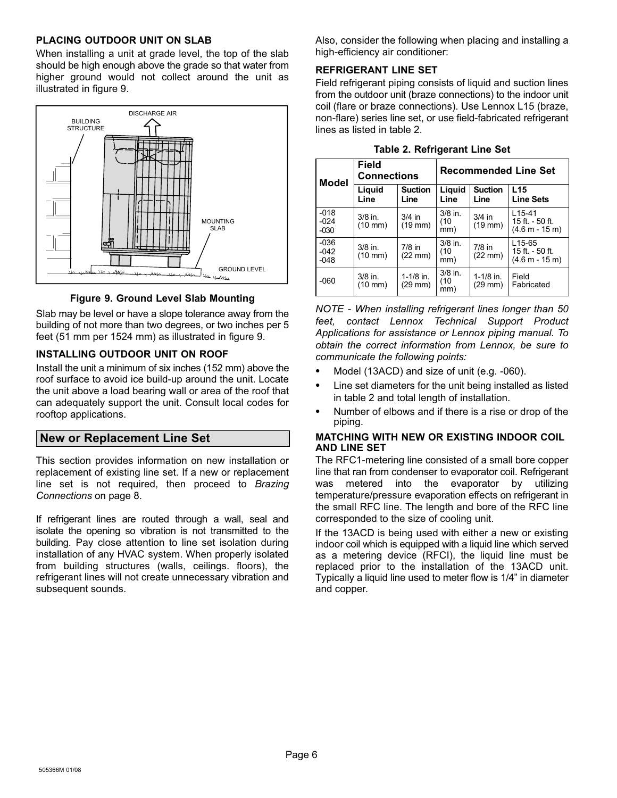#### <span id="page-5-0"></span>PLACING OUTDOOR UNIT ON SLAB

When installing a unit at grade level, the top of the slab should be high enough above the grade so that water from higher ground would not collect around the unit as illustrated in figure 9.



Figure 9. Ground Level Slab Mounting

Slab may be level or have a slope tolerance away from the building of not more than two degrees, or two inches per 5 feet (51 mm per 1524 mm) as illustrated in figure 9.

#### INSTALLING OUTDOOR UNIT ON ROOF

Install the unit a minimum of six inches (152 mm) above the roof surface to avoid ice build−up around the unit. Locate the unit above a load bearing wall or area of the roof that can adequately support the unit. Consult local codes for rooftop applications.

#### New or Replacement Line Set

This section provides information on new installation or replacement of existing line set. If a new or replacement line set is not required, then proceed to Brazing Connections on page [8.](#page-7-0)

If refrigerant lines are routed through a wall, seal and isolate the opening so vibration is not transmitted to the building. Pay close attention to line set isolation during installation of any HVAC system. When properly isolated from building structures (walls, ceilings. floors), the refrigerant lines will not create unnecessary vibration and subsequent sounds.

Also, consider the following when placing and installing a high−efficiency air conditioner:

#### REFRIGERANT LINE SET

Field refrigerant piping consists of liquid and suction lines from the outdoor unit (braze connections) to the indoor unit coil (flare or braze connections). Use Lennox L15 (braze, non−flare) series line set, or use field−fabricated refrigerant lines as listed in table 2.

| <b>Model</b>               | <b>Field</b><br><b>Connections</b> |                               | <b>Recommended Line Set</b> |                                    |                                                           |
|----------------------------|------------------------------------|-------------------------------|-----------------------------|------------------------------------|-----------------------------------------------------------|
|                            | Liquid<br>Line                     | <b>Suction</b><br>Line        | Liguid<br>Line              | <b>Suction</b><br>Line             | L <sub>15</sub><br><b>Line Sets</b>                       |
| $-018$<br>$-024$<br>$-030$ | $3/8$ in.<br>$(10 \text{ mm})$     | $3/4$ in<br>$(19$ mm $)$      | $3/8$ in.<br>(10<br>mm)     | $3/4$ in<br>$(19$ mm $)$           | $L15-41$<br>15 ft. - 50 ft.<br>$(4.6 m - 15 m)$           |
| $-036$<br>$-042$<br>$-048$ | $3/8$ in.<br>$(10 \text{ mm})$     | $7/8$ in<br>$(22 \text{ mm})$ | $3/8$ in.<br>(10<br>mm)     | $7/8$ in<br>$(22 \text{ mm})$      | L <sub>15-65</sub><br>15 ft. - 50 ft.<br>$(4.6 m - 15 m)$ |
| $-060$                     | $3/8$ in.<br>$(10 \text{ mm})$     | $1-1/8$ in.<br>(29 mm)        | $3/8$ in.<br>(10<br>mm)     | $1 - 1/8$ in.<br>$(29 \text{ mm})$ | Field<br>Fabricated                                       |

| <b>Table 2. Refrigerant Line Set</b> |  |  |  |  |  |  |
|--------------------------------------|--|--|--|--|--|--|
|--------------------------------------|--|--|--|--|--|--|

NOTE − When installing refrigerant lines longer than 50 feet, contact Lennox Technical Support Product Applications for assistance or Lennox piping manual. To obtain the correct information from Lennox, be sure to communicate the following points:

- Model (13ACD) and size of unit (e.g. −060).
- Line set diameters for the unit being installed as listed in table 2 and total length of installation.
- Number of elbows and if there is a rise or drop of the piping.

#### MATCHING WITH NEW OR EXISTING INDOOR COIL AND LINE SET

The RFC1−metering line consisted of a small bore copper line that ran from condenser to evaporator coil. Refrigerant was metered into the evaporator by utilizing temperature/pressure evaporation effects on refrigerant in the small RFC line. The length and bore of the RFC line corresponded to the size of cooling unit.

If the 13ACD is being used with either a new or existing indoor coil which is equipped with a liquid line which served as a metering device (RFCI), the liquid line must be replaced prior to the installation of the 13ACD unit. Typically a liquid line used to meter flow is 1/4" in diameter and copper.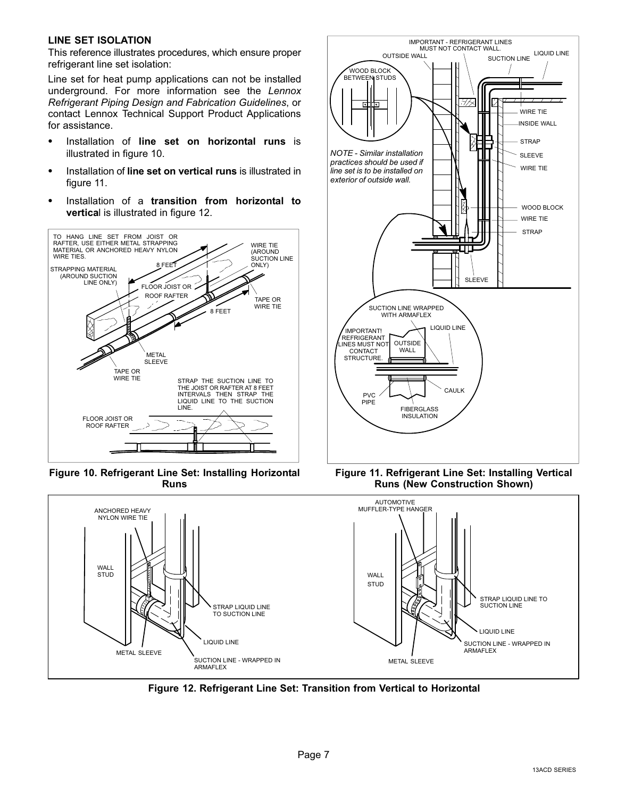#### LINE SET ISOLATION

This reference illustrates procedures, which ensure proper refrigerant line set isolation:

Line set for heat pump applications can not be installed underground. For more information see the Lennox Refrigerant Piping Design and Fabrication Guidelines, or contact Lennox Technical Support Product Applications for assistance.

- Installation of line set on horizontal runs is illustrated in figure 10.
- Installation of line set on vertical runs is illustrated in figure 11.
- Installation of a transition from horizontal to vertical is illustrated in figure 12.



Figure 10. Refrigerant Line Set: Installing Horizontal Runs



Figure 12. Refrigerant Line Set: Transition from Vertical to Horizontal



Figure 11. Refrigerant Line Set: Installing Vertical Runs (New Construction Shown)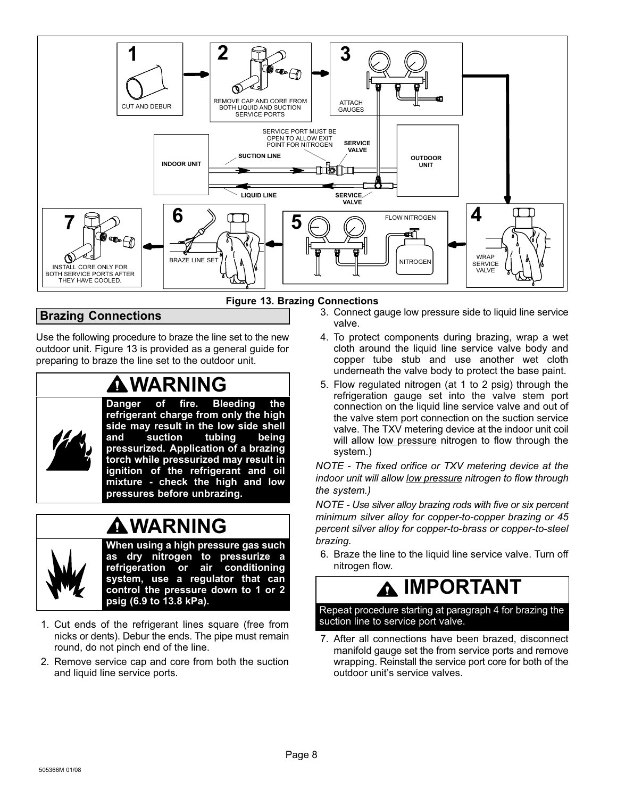<span id="page-7-0"></span>

Figure 13. Brazing Connections

#### Brazing Connections

Use the following procedure to braze the line set to the new outdoor unit. Figure 13 is provided as a general guide for preparing to braze the line set to the outdoor unit.

## WARNING



Danger of fire. Bleeding the refrigerant charge from only the high side may result in the low side shell<br>and suction tubing being and suction tubing pressurized. Application of a brazing torch while pressurized may result in ignition of the refrigerant and oil mixture − check the high and low pressures before unbrazing.

### WARNING



When using a high pressure gas such as dry nitrogen to pressurize a refrigeration or air conditioning system, use a regulator that can control the pressure down to 1 or 2 psig (6.9 to 13.8 kPa).

- 1. Cut ends of the refrigerant lines square (free from nicks or dents). Debur the ends. The pipe must remain round, do not pinch end of the line.
- 2. Remove service cap and core from both the suction and liquid line service ports.
- 3. Connect gauge low pressure side to liquid line service valve.
- 4. To protect components during brazing, wrap a wet cloth around the liquid line service valve body and copper tube stub and use another wet cloth underneath the valve body to protect the base paint.
- 5. Flow regulated nitrogen (at 1 to 2 psig) through the refrigeration gauge set into the valve stem port connection on the liquid line service valve and out of the valve stem port connection on the suction service valve. The TXV metering device at the indoor unit coil will allow <u>low pressure</u> nitrogen to flow through the system.)

NOTE − The fixed orifice or TXV metering device at the indoor unit will allow low pressure nitrogen to flow through the system.)

NOTE − Use silver alloy brazing rods with five or six percent minimum silver alloy for copper−to−copper brazing or 45 percent silver alloy for copper−to−brass or copper−to−steel brazing.

6. Braze the line to the liquid line service valve. Turn off nitrogen flow.

## IMPORTANT

Repeat procedure starting at paragraph 4 for brazing the suction line to service port valve.

7. After all connections have been brazed, disconnect manifold gauge set the from service ports and remove wrapping. Reinstall the service port core for both of the outdoor unit's service valves.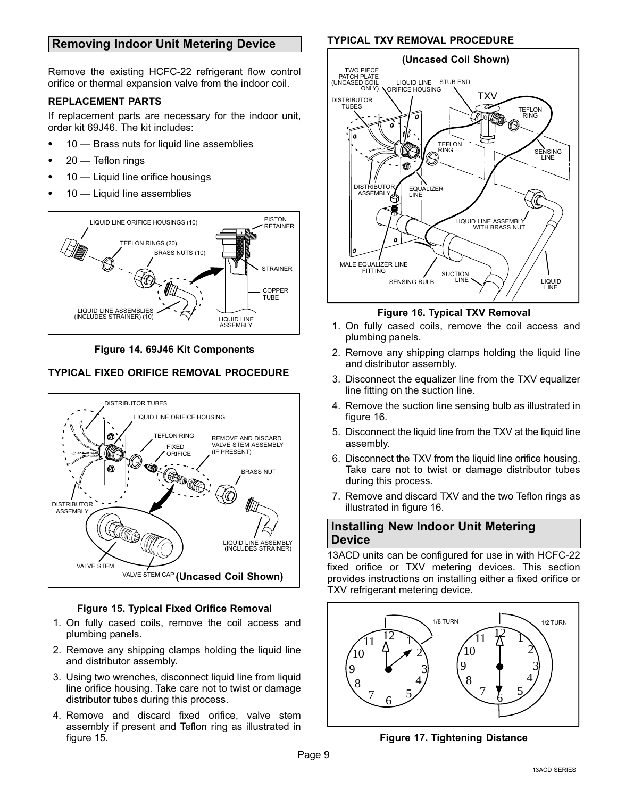#### <span id="page-8-0"></span>Removing Indoor Unit Metering Device

Remove the existing HCFC−22 refrigerant flow control orifice or thermal expansion valve from the indoor coil.

#### REPLACEMENT PARTS

If replacement parts are necessary for the indoor unit, order kit 69J46. The kit includes:

- 10 Brass nuts for liquid line assemblies
- 20 Teflon rings
- 10 Liquid line orifice housings
- 10 Liquid line assemblies



Figure 14. 69J46 Kit Components

#### TYPICAL FIXED ORIFICE REMOVAL PROCEDURE



#### Figure 15. Typical Fixed Orifice Removal

- 1. On fully cased coils, remove the coil access and plumbing panels.
- 2. Remove any shipping clamps holding the liquid line and distributor assembly.
- 3. Using two wrenches, disconnect liquid line from liquid line orifice housing. Take care not to twist or damage distributor tubes during this process.
- 4. Remove and discard fixed orifice, valve stem assembly if present and Teflon ring as illustrated in figure 15.

#### TYPICAL TXV REMOVAL PROCEDURE



#### Figure 16. Typical TXV Removal

- 1. On fully cased coils, remove the coil access and plumbing panels.
- 2. Remove any shipping clamps holding the liquid line and distributor assembly.
- 3. Disconnect the equalizer line from the TXV equalizer line fitting on the suction line.
- 4. Remove the suction line sensing bulb as illustrated in figure 16.
- 5. Disconnect the liquid line from the TXV at the liquid line assembly.
- 6. Disconnect the TXV from the liquid line orifice housing. Take care not to twist or damage distributor tubes during this process.
- 7. Remove and discard TXV and the two Teflon rings as illustrated in figure 16.

#### Installing New Indoor Unit Metering **Device**

13ACD units can be configured for use in with HCFC−22 fixed orifice or TXV metering devices. This section provides instructions on installing either a fixed orifice or TXV refrigerant metering device.



Figure 17. Tightening Distance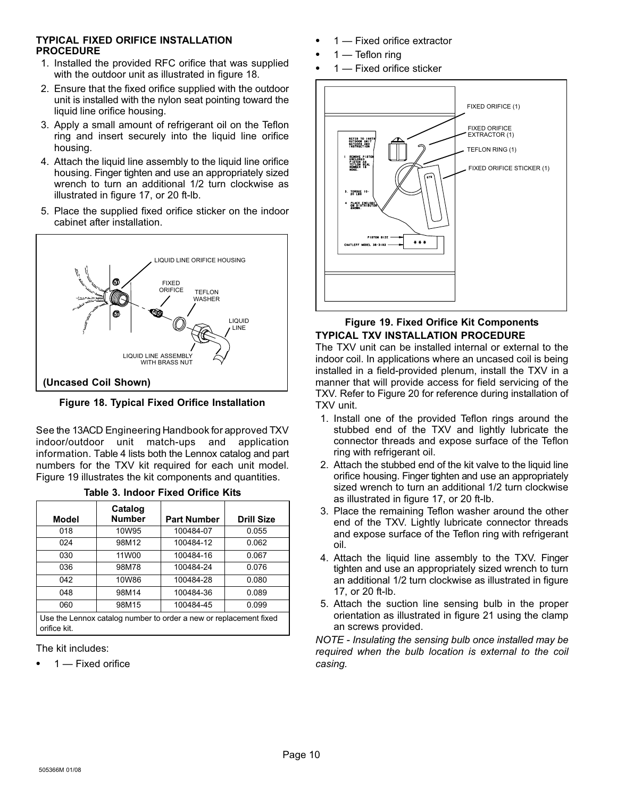#### TYPICAL FIXED ORIFICE INSTALLATION PROCEDURE

- 1. Installed the provided RFC orifice that was supplied with the outdoor unit as illustrated in figure 18.
- 2. Ensure that the fixed orifice supplied with the outdoor unit is installed with the nylon seat pointing toward the liquid line orifice housing.
- 3. Apply a small amount of refrigerant oil on the Teflon ring and insert securely into the liquid line orifice housing.
- 4. Attach the liquid line assembly to the liquid line orifice housing. Finger tighten and use an appropriately sized wrench to turn an additional 1/2 turn clockwise as illustrated in figure [17,](#page-8-0) or 20 ft−lb.
- 5. Place the supplied fixed orifice sticker on the indoor cabinet after installation.



Figure 18. Typical Fixed Orifice Installation

See the 13ACD Engineering Handbook for approved TXV indoor/outdoor unit match−ups and application information. Table [4](#page-10-0) lists both the Lennox catalog and part numbers for the TXV kit required for each unit model. Figure 19 illustrates the kit components and quantities.

| Model                                                                             | Catalog<br><b>Number</b> | <b>Part Number</b> | <b>Drill Size</b> |  |  |
|-----------------------------------------------------------------------------------|--------------------------|--------------------|-------------------|--|--|
| 018                                                                               | 10W95                    | 100484-07          | 0.055             |  |  |
| 024                                                                               | 98M12                    | 100484-12          | 0.062             |  |  |
| 030                                                                               | 11W00                    | 100484-16          | 0.067             |  |  |
| 036                                                                               | 98M78                    | 100484-24          | 0.076             |  |  |
| 042                                                                               | 10W86                    | 100484-28          | 0.080             |  |  |
| 048                                                                               | 98M14                    | 100484-36          | 0.089             |  |  |
| 060                                                                               | 98M15                    | 100484-45          | 0.099             |  |  |
| Use the Lennox catalog number to order a new or replacement fixed<br>orifice kit. |                          |                    |                   |  |  |

|  | Table 3. Indoor Fixed Orifice Kits |  |  |
|--|------------------------------------|--|--|
|  |                                    |  |  |

The kit includes:

• 1 — Fixed orifice

- 1 Fixed orifice extractor
- $\bullet$  1 Teflon ring
- 1 Fixed orifice sticker



#### Figure 19. Fixed Orifice Kit Components TYPICAL TXV INSTALLATION PROCEDURE

The TXV unit can be installed internal or external to the indoor coil. In applications where an uncased coil is being installed in a field−provided plenum, install the TXV in a manner that will provide access for field servicing of the TXV. Refer to Figure [20](#page-10-0) for reference during installation of TXV unit.

- 1. Install one of the provided Teflon rings around the stubbed end of the TXV and lightly lubricate the connector threads and expose surface of the Teflon ring with refrigerant oil.
- 2. Attach the stubbed end of the kit valve to the liquid line orifice housing. Finger tighten and use an appropriately sized wrench to turn an additional 1/2 turn clockwise as illustrated in figure [17,](#page-8-0) or 20 ft−lb.
- 3. Place the remaining Teflon washer around the other end of the TXV. Lightly lubricate connector threads and expose surface of the Teflon ring with refrigerant oil.
- 4. Attach the liquid line assembly to the TXV. Finger tighten and use an appropriately sized wrench to turn an additional 1/2 turn clockwise as illustrated in figure [17](#page-8-0), or 20 ft−lb.
- 5. Attach the suction line sensing bulb in the proper orientation as illustrated in figure [21](#page-10-0) using the clamp an screws provided.

NOTE − Insulating the sensing bulb once installed may be required when the bulb location is external to the coil casing.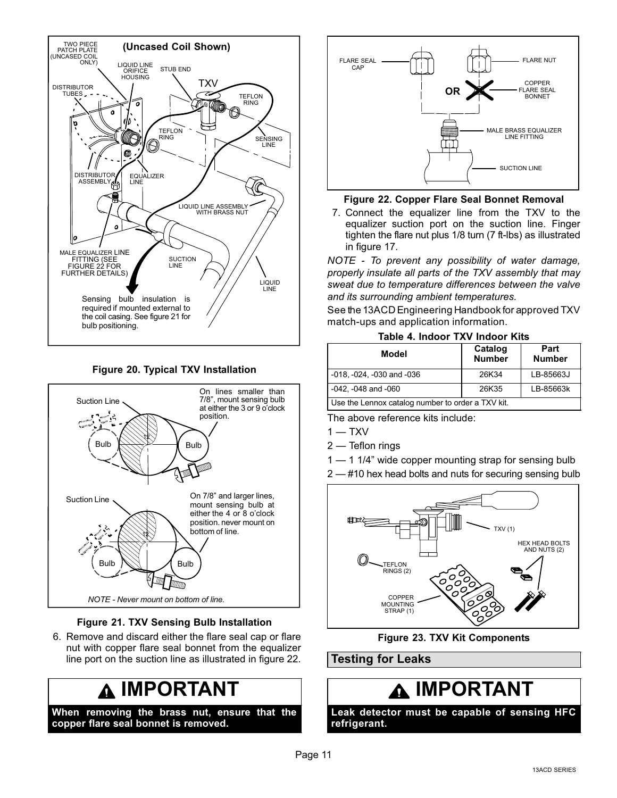<span id="page-10-0"></span>

Figure 20. Typical TXV Installation



#### Figure 21. TXV Sensing Bulb Installation

6. Remove and discard either the flare seal cap or flare nut with copper flare seal bonnet from the equalizer line port on the suction line as illustrated in figure 22.

## IMPORTANT

When removing the brass nut, ensure that the copper flare seal bonnet is removed.



#### Figure 22. Copper Flare Seal Bonnet Removal

7. Connect the equalizer line from the TXV to the equalizer suction port on the suction line. Finger tighten the flare nut plus 1/8 turn (7 ft−lbs) as illustrated in figure [17](#page-8-0).

NOTE − To prevent any possibility of water damage, properly insulate all parts of the TXV assembly that may sweat due to temperature differences between the valve and its surrounding ambient temperatures.

See the 13ACD Engineering Handbook for approved TXV match−ups and application information.

#### Table 4. Indoor TXV Indoor Kits

| Model                                             | Catalog<br><b>Number</b> | Part<br><b>Number</b> |  |  |  |
|---------------------------------------------------|--------------------------|-----------------------|--|--|--|
| $-018, -024, -030$ and $-036$                     | 26K34                    | LB-85663J             |  |  |  |
| $-042$ , $-048$ and $-060$                        | 26K35                    | LB-85663k             |  |  |  |
| Use the Lennox catalog number to order a TXV kit. |                          |                       |  |  |  |

The above reference kits include:

- $1 TXV$
- 2 Teflon rings
- 1 1 1/4" wide copper mounting strap for sensing bulb
- 2 #10 hex head bolts and nuts for securing sensing bulb



#### Figure 23. TXV Kit Components

#### Testing for Leaks

## **A IMPORTANT**

Leak detector must be capable of sensing HFC refrigerant.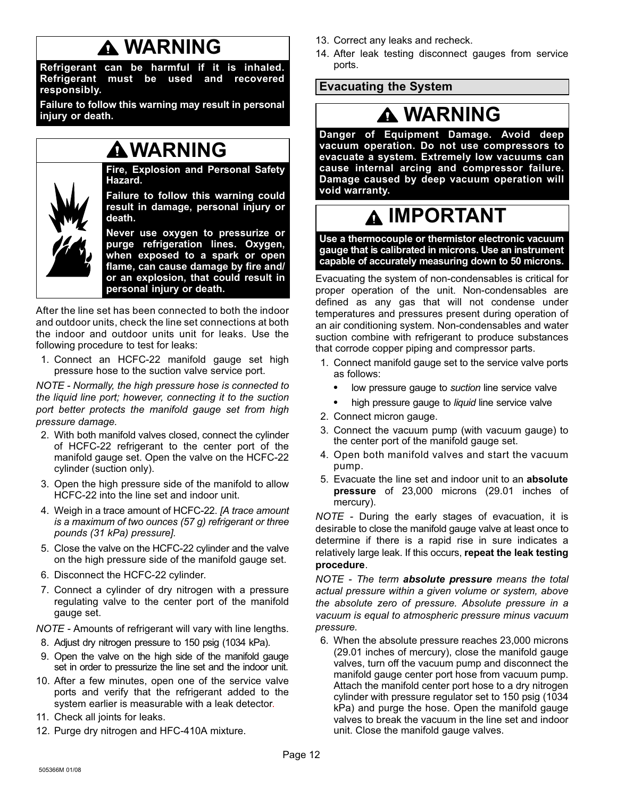## WARNING

<span id="page-11-0"></span>Refrigerant can be harmful if it is inhaled. Refrigerant must be used and recovered responsibly.

Failure to follow this warning may result in personal injury or death.

## WARNING

Fire, Explosion and Personal Safety Hazard.

Failure to follow this warning could result in damage, personal injury or death.

Never use oxygen to pressurize or purge refrigeration lines. Oxygen, when exposed to a spark or open flame, can cause damage by fire and/ or an explosion, that could result in personal injury or death.

After the line set has been connected to both the indoor and outdoor units, check the line set connections at both the indoor and outdoor units unit for leaks. Use the following procedure to test for leaks:

1. Connect an HCFC−22 manifold gauge set high pressure hose to the suction valve service port.

NOTE − Normally, the high pressure hose is connected to the liquid line port; however, connecting it to the suction port better protects the manifold gauge set from high pressure damage.

- 2. With both manifold valves closed, connect the cylinder of HCFC−22 refrigerant to the center port of the manifold gauge set. Open the valve on the HCFC−22 cylinder (suction only).
- 3. Open the high pressure side of the manifold to allow HCFC−22 into the line set and indoor unit.
- 4. Weigh in a trace amount of HCFC-22. [A trace amount is a maximum of two ounces (57 g) refrigerant or three pounds (31 kPa) pressure].
- 5. Close the valve on the HCFC−22 cylinder and the valve on the high pressure side of the manifold gauge set.
- 6. Disconnect the HCFC−22 cylinder.
- 7. Connect a cylinder of dry nitrogen with a pressure regulating valve to the center port of the manifold gauge set.

NOTE − Amounts of refrigerant will vary with line lengths.

- 8. Adjust dry nitrogen pressure to 150 psig (1034 kPa).
- 9. Open the valve on the high side of the manifold gauge set in order to pressurize the line set and the indoor unit.
- 10. After a few minutes, open one of the service valve ports and verify that the refrigerant added to the system earlier is measurable with a leak detector.
- 11. Check all joints for leaks.
- 12. Purge dry nitrogen and HFC−410A mixture.
- 13. Correct any leaks and recheck.
- 14. After leak testing disconnect gauges from service ports.

#### Evacuating the System

## WARNING

Danger of Equipment Damage. Avoid deep vacuum operation. Do not use compressors to evacuate a system. Extremely low vacuums can cause internal arcing and compressor failure. Damage caused by deep vacuum operation will void warranty.

## IMPORTANT

Use a thermocouple or thermistor electronic vacuum gauge that is calibrated in microns. Use an instrument capable of accurately measuring down to 50 microns.

Evacuating the system of non−condensables is critical for proper operation of the unit. Non−condensables are defined as any gas that will not condense under temperatures and pressures present during operation of an air conditioning system. Non−condensables and water suction combine with refrigerant to produce substances that corrode copper piping and compressor parts.

- 1. Connect manifold gauge set to the service valve ports as follows:
	- low pressure gauge to suction line service valve
	- high pressure gauge to *liquid* line service valve
- 2. Connect micron gauge.
- 3. Connect the vacuum pump (with vacuum gauge) to the center port of the manifold gauge set.
- 4. Open both manifold valves and start the vacuum pump.
- 5. Evacuate the line set and indoor unit to an absolute pressure of 23,000 microns (29.01 inches of mercury).

NOTE − During the early stages of evacuation, it is desirable to close the manifold gauge valve at least once to determine if there is a rapid rise in sure indicates a relatively large leak. If this occurs, repeat the leak testing procedure.

NOTE - The term absolute pressure means the total actual pressure within a given volume or system, above the absolute zero of pressure. Absolute pressure in a vacuum is equal to atmospheric pressure minus vacuum pressure.

6. When the absolute pressure reaches 23,000 microns (29.01 inches of mercury), close the manifold gauge valves, turn off the vacuum pump and disconnect the manifold gauge center port hose from vacuum pump. Attach the manifold center port hose to a dry nitrogen cylinder with pressure regulator set to 150 psig (1034 kPa) and purge the hose. Open the manifold gauge valves to break the vacuum in the line set and indoor unit. Close the manifold gauge valves.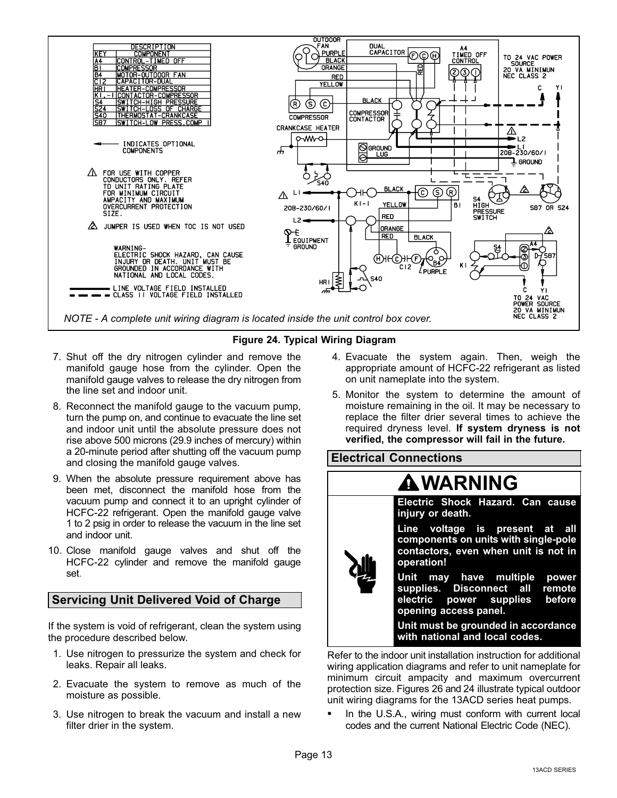<span id="page-12-0"></span>

#### Figure 24. Typical Wiring Diagram

- 7. Shut off the dry nitrogen cylinder and remove the manifold gauge hose from the cylinder. Open the manifold gauge valves to release the dry nitrogen from the line set and indoor unit.
- 8. Reconnect the manifold gauge to the vacuum pump, turn the pump on, and continue to evacuate the line set and indoor unit until the absolute pressure does not rise above 500 microns (29.9 inches of mercury) within a 20−minute period after shutting off the vacuum pump and closing the manifold gauge valves.
- 9. When the absolute pressure requirement above has been met, disconnect the manifold hose from the vacuum pump and connect it to an upright cylinder of HCFC−22 refrigerant. Open the manifold gauge valve 1 to 2 psig in order to release the vacuum in the line set and indoor unit.
- 10. Close manifold gauge valves and shut off the HCFC−22 cylinder and remove the manifold gauge set.

#### Servicing Unit Delivered Void of Charge

If the system is void of refrigerant, clean the system using the procedure described below.

- 1. Use nitrogen to pressurize the system and check for leaks. Repair all leaks.
- 2. Evacuate the system to remove as much of the moisture as possible.
- 3. Use nitrogen to break the vacuum and install a new filter drier in the system.
- 4. Evacuate the system again. Then, weigh the appropriate amount of HCFC−22 refrigerant as listed on unit nameplate into the system.
- 5. Monitor the system to determine the amount of moisture remaining in the oil. It may be necessary to replace the filter drier several times to achieve the required dryness level. If system dryness is not verified, the compressor will fail in the future.



wiring application diagrams and refer to unit nameplate for minimum circuit ampacity and maximum overcurrent protection size. Figures [26](#page-13-0) and 24 illustrate typical outdoor unit wiring diagrams for the 13ACD series heat pumps.

 In the U.S.A., wiring must conform with current local codes and the current National Electric Code (NEC).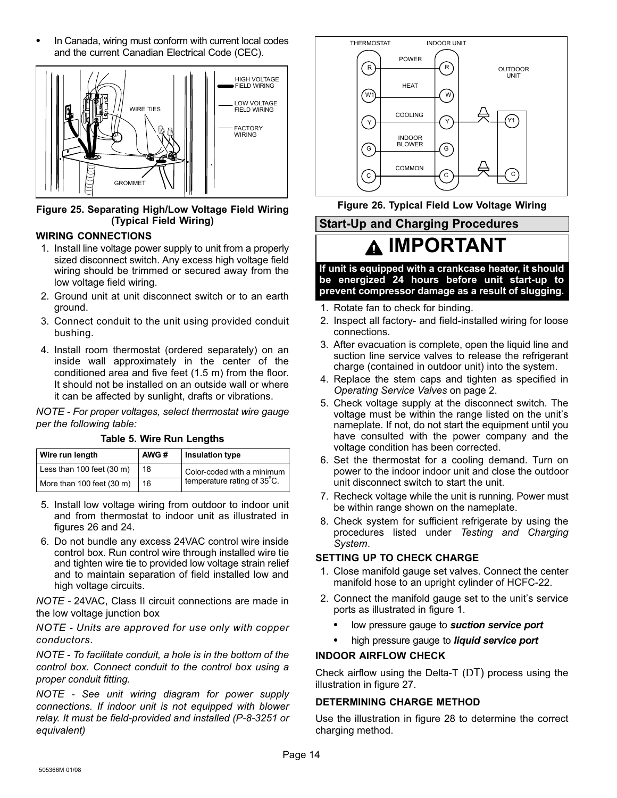<span id="page-13-0"></span> In Canada, wiring must conform with current local codes and the current Canadian Electrical Code (CEC).



Figure 25. Separating High/Low Voltage Field Wiring (Typical Field Wiring)

#### WIRING CONNECTIONS

- 1. Install line voltage power supply to unit from a properly sized disconnect switch. Any excess high voltage field wiring should be trimmed or secured away from the low voltage field wiring.
- 2. Ground unit at unit disconnect switch or to an earth ground.
- 3. Connect conduit to the unit using provided conduit bushing.
- 4. Install room thermostat (ordered separately) on an inside wall approximately in the center of the conditioned area and five feet (1.5 m) from the floor. It should not be installed on an outside wall or where it can be affected by sunlight, drafts or vibrations.

NOTE − For proper voltages, select thermostat wire gauge per the following table:

| Wire run length           | AWG# | Insulation type             |
|---------------------------|------|-----------------------------|
| Less than 100 feet (30 m) | 18   | Color-coded with a minimum  |
| More than 100 feet (30 m) | 16   | temperature rating of 35°C. |

Table 5. Wire Run Lengths

- 5. Install low voltage wiring from outdoor to indoor unit and from thermostat to indoor unit as illustrated in figures 26 and [24](#page-12-0).
- 6. Do not bundle any excess 24VAC control wire inside control box. Run control wire through installed wire tie and tighten wire tie to provided low voltage strain relief and to maintain separation of field installed low and high voltage circuits.

NOTE − 24VAC, Class II circuit connections are made in the low voltage junction box

NOTE − Units are approved for use only with copper conductors.

NOTE − To facilitate conduit, a hole is in the bottom of the control box. Connect conduit to the control box using a proper conduit fitting.

NOTE − See unit wiring diagram for power supply connections. If indoor unit is not equipped with blower relay. It must be field−provided and installed (P−8−3251 or equivalent)



Figure 26. Typical Field Low Voltage Wiring

## IMPORTANT

Start−Up and Charging Procedures

If unit is equipped with a crankcase heater, it should be energized 24 hours before unit start−up to prevent compressor damage as a result of slugging.

- 1. Rotate fan to check for binding.
- 2. Inspect all factory− and field−installed wiring for loose connections.
- 3. After evacuation is complete, open the liquid line and suction line service valves to release the refrigerant charge (contained in outdoor unit) into the system.
- 4. Replace the stem caps and tighten as specified in Operating Service Valves on page [2.](#page-1-0)
- 5. Check voltage supply at the disconnect switch. The voltage must be within the range listed on the unit's nameplate. If not, do not start the equipment until you have consulted with the power company and the voltage condition has been corrected.
- 6. Set the thermostat for a cooling demand. Turn on power to the indoor indoor unit and close the outdoor unit disconnect switch to start the unit.
- 7. Recheck voltage while the unit is running. Power must be within range shown on the nameplate.
- 8. Check system for sufficient refrigerate by using the procedures listed under Testing and Charging System.

#### SETTING UP TO CHECK CHARGE

- 1. Close manifold gauge set valves. Connect the center manifold hose to an upright cylinder of HCFC−22.
- 2. Connect the manifold gauge set to the unit's service ports as illustrated in figure [1](#page-2-0).
	- low pressure gauge to suction service port
	- high pressure gauge to *liquid service port*

#### INDOOR AIRFLOW CHECK

Check airflow using the Delta−T (DT) process using the illustration in figure [27](#page-14-0).

#### DETERMINING CHARGE METHOD

Use the illustration in figure [28](#page-14-0) to determine the correct charging method.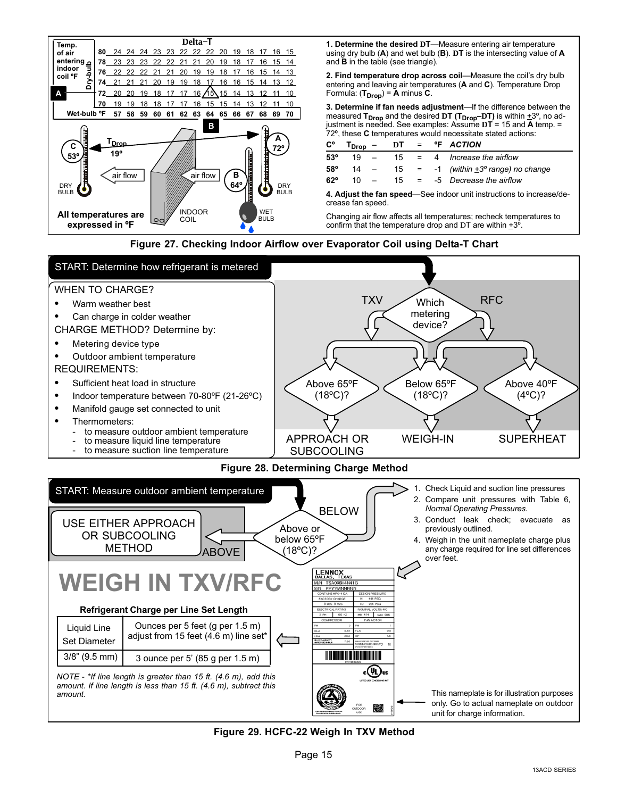<span id="page-14-0"></span>

1. Determine the desired DT-Measure entering air temperature using dry bulb (A) and wet bulb (B). **D**T is the intersecting value of A and B in the table (see triangle).

2. Find temperature drop across coil—Measure the coil's dry bulb entering and leaving air temperatures (A and C). Temperature Drop Formula:  $(T_{Drop}) = A$  minus  $C$ .

3. Determine if fan needs adjustment-If the difference between the measured T<sub>Drop</sub> and the desired DT (T<sub>Drop</sub>-DT) is within  $\pm 3^{\circ}$ , no adjustment is needed. See examples: Assume **D**T = 15 and A temp. =  $72^\circ$ , these C temperatures would necessitate stated actions:

| С°                                                                                       |        |  |  |  |  | $T_{Drop}$ – DT = $\degree$ F ACTION                    |
|------------------------------------------------------------------------------------------|--------|--|--|--|--|---------------------------------------------------------|
| $53^\circ$                                                                               | $19 -$ |  |  |  |  | $15 = 4$ Increase the airflow                           |
| 58°                                                                                      |        |  |  |  |  | $14 - 15 = -1$ (within $\pm 3^{\circ}$ range) no change |
| $62^\circ$                                                                               |        |  |  |  |  | $10 - 15 = -5$ Decrease the airflow                     |
| 4. Adjust the fan speed—See indoor unit instructions to increase/de-<br>crease fan sneed |        |  |  |  |  |                                                         |

Changing air flow affects all temperatures; recheck temperatures to confirm that the temperature drop and DT are within  $\pm 3^{\circ}$ .

Figure 27. Checking Indoor Airflow over Evaporator Coil using Delta−T Chart



Figure 29. HCFC−22 Weigh In TXV Method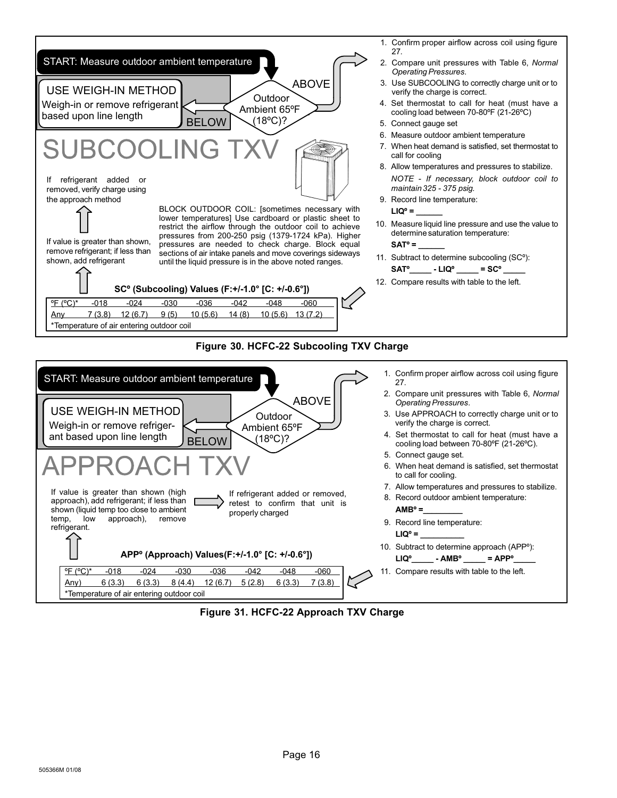

- 1. Confirm proper airflow across coil using figure [27](#page-14-0).
- 2. Compare unit pressures with Table [6](#page-17-0), Normal Operating Pressures.
- 3. Use SUBCOOLING to correctly charge unit or to verify the charge is correct.
- 4. Set thermostat to call for heat (must have a cooling load between 70-80ºF (21−26ºC)
- 5. Connect gauge set
- 6. Measure outdoor ambient temperature
- 7. When heat demand is satisfied, set thermostat to call for cooling
- 8. Allow temperatures and pressures to stabilize. NOTE − If necessary, block outdoor coil to maintain 325 − 375 psig.
- 9. Record line temperature:

 $LIO<sup>o</sup> =$ 

10. Measure liquid line pressure and use the value to determine saturation temperature:

 $SAT° =$ 

- 11. Subtract to determine subcooling (SCº):  $SAT^{\circ}$  - LIQ $^{\circ}$  = SC $^{\circ}$  \_
- 12. Compare results with table to the left.

#### Figure 30. HCFC−22 Subcooling TXV Charge



Figure 31. HCFC−22 Approach TXV Charge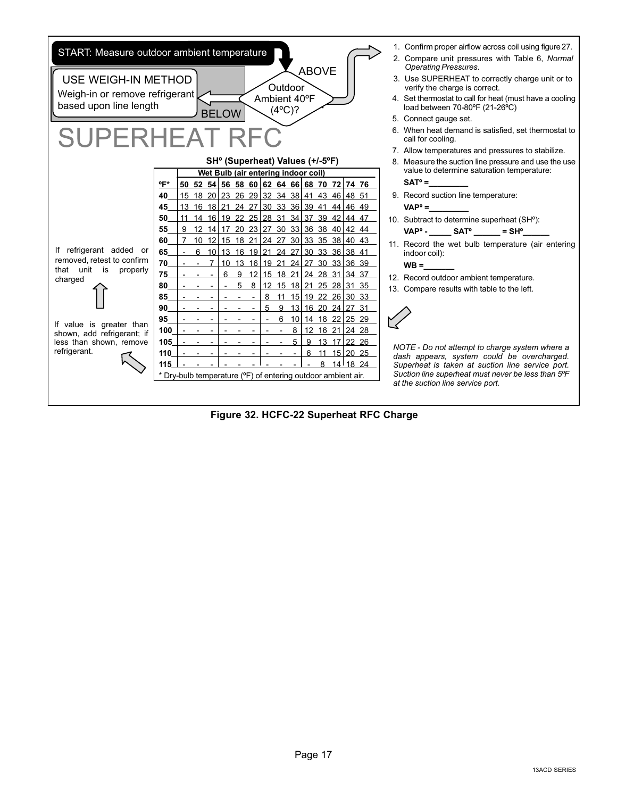

Figure 32. HCFC−22 Superheat RFC Charge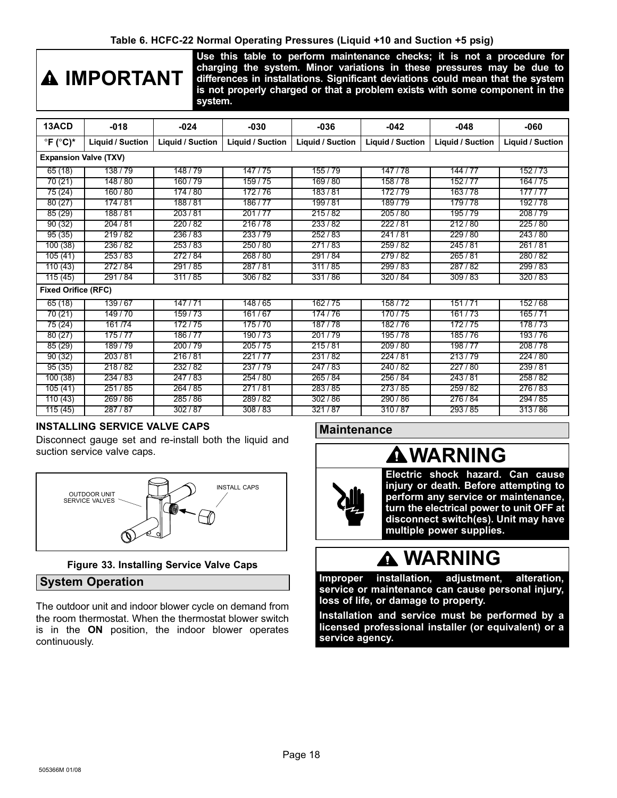#### Table 6. HCFC−22 Normal Operating Pressures (Liquid +10 and Suction +5 psig)

# <span id="page-17-0"></span>**A IMPORTANT**

Use this table to perform maintenance checks; it is not a procedure for charging the system. Minor variations in these pressures may be due to differences in installations. Significant deviations could mean that the system is not properly charged or that a problem exists with some component in the system.

| 13ACD                         | $-018$                       | $-024$           | $-030$           | $-036$           | $-042$           | $-048$           | -060             |  |  |  |  |
|-------------------------------|------------------------------|------------------|------------------|------------------|------------------|------------------|------------------|--|--|--|--|
| $^{\circ}$ F ( $^{\circ}$ C)* | Liquid / Suction             | Liquid / Suction | Liquid / Suction | Liquid / Suction | Liquid / Suction | Liquid / Suction | Liquid / Suction |  |  |  |  |
|                               | <b>Expansion Valve (TXV)</b> |                  |                  |                  |                  |                  |                  |  |  |  |  |
| 65(18)                        | 138/79                       | 148/79           | 147/75           | 155/79           | 147/78           | 144 / 77         | 152/73           |  |  |  |  |
| 70(21)                        | 148 / 80                     | 160/79           | 159/75           | 169/80           | 158/78           | 152/77           | 164 / 75         |  |  |  |  |
| 75(24)                        | 160/80                       | 174/80           | 172/76           | 183/81           | 172/79           | 163/78           | 177/77           |  |  |  |  |
| 80(27)                        | 174/81                       | 188/81           | 186/77           | 199/81           | 189/79           | 179/78           | 192/78           |  |  |  |  |
| 85(29)                        | 188/81                       | 203/81           | 201/77           | 215/82           | 205/80           | 195/79           | 208/79           |  |  |  |  |
| 90(32)                        | 204/81                       | 220/82           | 216/78           | 233/82           | 222/81           | 212/80           | 225/80           |  |  |  |  |
| 95(35)                        | 219/82                       | 236/83           | 233/79           | 252/83           | 241/81           | 229/80           | 243/80           |  |  |  |  |
| 100(38)                       | 236/82                       | 253/83           | 250/80           | 271/83           | 259/82           | 245/81           | 261/81           |  |  |  |  |
| 105(41)                       | 253/83                       | 272/84           | 268/80           | 291/84           | 279/82           | 265/81           | 280/82           |  |  |  |  |
| 110(43)                       | 272/84                       | 291/85           | 287/81           | 311/85           | 299/83           | 287/82           | 299/83           |  |  |  |  |
| 115(45)                       | 291/84                       | 311/85           | 306/82           | 331/86           | 320/84           | 309/83           | 320/83           |  |  |  |  |
| <b>Fixed Orifice (RFC)</b>    |                              |                  |                  |                  |                  |                  |                  |  |  |  |  |
| 65(18)                        | 139/67                       | 147/71           | 148/65           | 162/75           | 158/72           | 151/71           | 152/68           |  |  |  |  |
| 70 (21)                       | 149/70                       | 159/73           | 161/67           | 174/76           | 170/75           | 161/73           | 165/71           |  |  |  |  |
| 75(24)                        | 161/74                       | 172/75           | 175/70           | 187/78           | 182/76           | 172/75           | 178/73           |  |  |  |  |
| 80(27)                        | 175/77                       | 186/77           | 190/73           | 201/79           | 195/78           | 185/76           | 193/76           |  |  |  |  |
| 85(29)                        | 189/79                       | 200/79           | 205/75           | 215/81           | 209/80           | 198/77           | 208/78           |  |  |  |  |
| 90(32)                        | 203/81                       | 216/81           | 221/77           | 231/82           | 224/81           | 213/79           | 224/80           |  |  |  |  |
| 95(35)                        | 218/82                       | 232/82           | 237/79           | 247/83           | 240/82           | 227/80           | 239/81           |  |  |  |  |
| 100(38)                       | 234/83                       | 247/83           | 254 / 80         | 265/84           | 256 / 84         | 243/81           | 258/82           |  |  |  |  |
| 105(41)                       | 251/85                       | 264 / 85         | 271/81           | 283/85           | 273/85           | 259/82           | 276/83           |  |  |  |  |
| 110(43)                       | 269/86                       | 285/86           | 289/82           | 302/86           | 290/86           | 276/84           | 294/85           |  |  |  |  |
| 115(45)                       | 287/87                       | 302/87           | 308/83           | 321/87           | 310/87           | 293/85           | 313/86           |  |  |  |  |

#### INSTALLING SERVICE VALVE CAPS

Disconnect gauge set and re−install both the liquid and suction service valve caps.



#### Figure 33. Installing Service Valve Caps

#### System Operation

The outdoor unit and indoor blower cycle on demand from the room thermostat. When the thermostat blower switch is in the ON position, the indoor blower operates continuously.

#### **Maintenance**

### WARNING



Electric shock hazard. Can cause injury or death. Before attempting to perform any service or maintenance, turn the electrical power to unit OFF at disconnect switch(es). Unit may have multiple power supplies.

### **A WARNING**

Improper installation, adjustment, alteration, service or maintenance can cause personal injury, loss of life, or damage to property.

Installation and service must be performed by a licensed professional installer (or equivalent) or a service agency.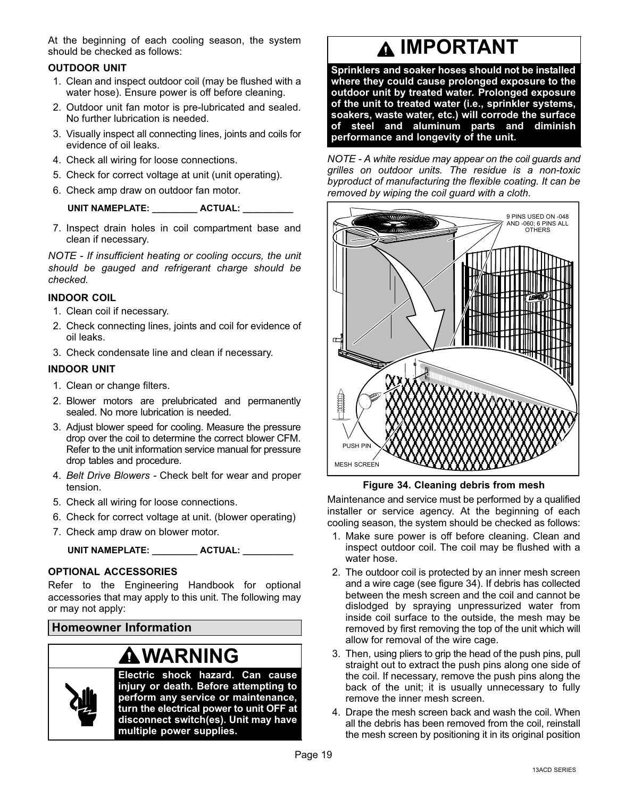<span id="page-18-0"></span>At the beginning of each cooling season, the system should be checked as follows:

#### OUTDOOR UNIT

- 1. Clean and inspect outdoor coil (may be flushed with a water hose). Ensure power is off before cleaning.
- 2. Outdoor unit fan motor is pre−lubricated and sealed. No further lubrication is needed.
- 3. Visually inspect all connecting lines, joints and coils for evidence of oil leaks.
- 4. Check all wiring for loose connections.
- 5. Check for correct voltage at unit (unit operating).
- 6. Check amp draw on outdoor fan motor.

#### UNIT NAMEPLATE: \_\_\_\_\_\_\_\_\_ ACTUAL: \_\_\_\_\_\_

7. Inspect drain holes in coil compartment base and clean if necessary.

NOTE - If insufficient heating or cooling occurs, the unit should be gauged and refrigerant charge should be checked.

#### INDOOR COIL

- 1. Clean coil if necessary.
- 2. Check connecting lines, joints and coil for evidence of oil leaks.
- 3. Check condensate line and clean if necessary.

#### INDOOR UNIT

- 1. Clean or change filters.
- 2. Blower motors are prelubricated and permanently sealed. No more lubrication is needed.
- 3. Adjust blower speed for cooling. Measure the pressure drop over the coil to determine the correct blower CFM. Refer to the unit information service manual for pressure drop tables and procedure.
- 4. Belt Drive Blowers − Check belt for wear and proper tension.
- 5. Check all wiring for loose connections.
- 6. Check for correct voltage at unit. (blower operating)
- 7. Check amp draw on blower motor.

UNIT NAMEPLATE: ACTUAL:

#### OPTIONAL ACCESSORIES

Refer to the Engineering Handbook for optional accessories that may apply to this unit. The following may or may not apply:

Homeowner Information

### WARNING



Electric shock hazard. Can cause injury or death. Before attempting to perform any service or maintenance, turn the electrical power to unit OFF at disconnect switch(es). Unit may have multiple power supplies.

## **A IMPORTANT**

Sprinklers and soaker hoses should not be installed where they could cause prolonged exposure to the outdoor unit by treated water. Prolonged exposure of the unit to treated water (i.e., sprinkler systems, soakers, waste water, etc.) will corrode the surface of steel and aluminum parts and diminish performance and longevity of the unit.

NOTE - A white residue may appear on the coil guards and grilles on outdoor units. The residue is a non−toxic byproduct of manufacturing the flexible coating. It can be removed by wiping the coil guard with a cloth.



Figure 34. Cleaning debris from mesh

Maintenance and service must be performed by a qualified installer or service agency. At the beginning of each cooling season, the system should be checked as follows:

- 1. Make sure power is off before cleaning. Clean and inspect outdoor coil. The coil may be flushed with a water hose.
- 2. The outdoor coil is protected by an inner mesh screen and a wire cage (see figure 34). If debris has collected between the mesh screen and the coil and cannot be dislodged by spraying unpressurized water from inside coil surface to the outside, the mesh may be removed by first removing the top of the unit which will allow for removal of the wire cage.
- 3. Then, using pliers to grip the head of the push pins, pull straight out to extract the push pins along one side of the coil. If necessary, remove the push pins along the back of the unit; it is usually unnecessary to fully remove the inner mesh screen.
- 4. Drape the mesh screen back and wash the coil. When all the debris has been removed from the coil, reinstall the mesh screen by positioning it in its original position